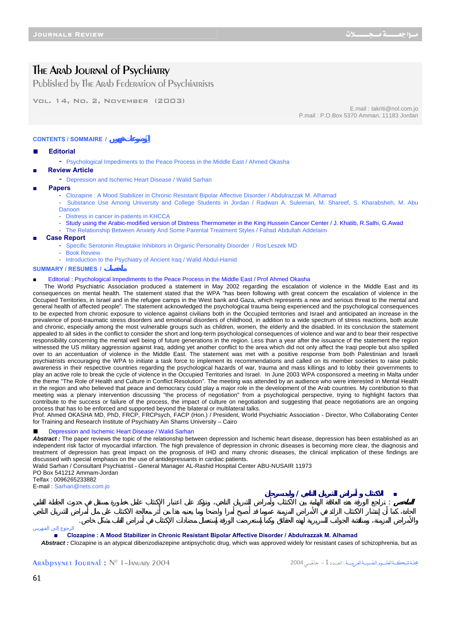# The Arab Journal of Psychiatry

Published by The Arab Federation of Psychiatrists

Vol. 14, No. 2, November (2003)

E.mail : takriti@nol.com.jo P.mail : P.O.Box 5370 Amman, 11183 Jordan

# **الموضوعات فهرس / SOMMAIRE / CONTENTS**

#### ■ **Editorial**

- Psychological Impediments to the Peace Process in the Middle East / Ahmed Okasha

- **■ Review Article** 
	- Depression and Ischemic Heart Disease / Walid Sarhan
- **■ Papers** 
	- Clozapine : A Mood Stabilizer in Chronic Resistant Bipolar Affective Disorder / Abdulrazzak M. Alhamad
	- Substance Use Among University and College Students in Jordan / Radwan A. Suleiman, M. Shareef, S. Kharabsheh, M. Abu Danoon
	- Distress in cancer in-patients in KHCCA
	- Study using the Arabic-modified version of Distress Thermometer in the King Hussein Cancer Center / J. Khatib, R.Salhi, G.Awad
	- The Relationship Between Anxiety And Some Parental Treatment Styles / Fahad Abdullah Addelaim
- **■ Case Report** 
	- Specific Serotonin Reuptake Inhibitors in Organic Personality Disorder / Ros'Leszek MD
	- **Book Review** 
		- Introduction to the Psychiatry of Ancient Iraq / Walid Abdul-Hamid

#### **SUMMARY / RESUMES / ملخصات**

#### Editorial : Psychological Impediments to the Peace Process in the Middle East / Prof Ahmed Okasha

 The World Psychiatric Association produced a statement in May 2002 regarding the escalation of violence in the Middle East and its consequences on mental health. The statement stated that the WPA "has been following with great concern the escalation of violence in the Occupied Territories, in Israel and in the refugee camps in the West bank and Gaza, which represents a new and serious threat to the mental and general health of affected people". The statement acknowledged the psychological trauma being experienced and the psychological consequences to be expected from chronic exposure to violence against civilians both in the Occupied territories and Israel and anticipated an increase in the prevalence of post-traumatic stress disorders and emotional disorders of childhood, in addition to a wide spectrum of stress reactions, both acute and chronic, especially among the most vulnerable groups such as children, women, the elderly and the disabled. In its conclusion the statement appealed to all sides in the conflict to consider the short and long-term psychological consequences of violence and war and to bear their respective responsibility concerning the mental well being of future generations in the region. Less than a year after the issuance of the statement the region witnessed the US military aggression against Iraq, adding yet another conflict to the area which did not only affect the Iraqi people but also spilled over to an accentuation of violence in the Middle East. The statement was met with a positive response from both Palestinian and Israeli psychiatrists encouraging the WPA to initiate a task force to implement its recommendations and called on its member societies to raise public awareness in their respective countries regarding the psychological hazards of war, trauma and mass killings and to lobby their governments to play an active role to break the cycle of violence in the Occupied Territories and Israel. In June 2003 WPA cosponsored a meeting in Malta under the theme "The Role of Health and Culture in Conflict Resolution". The meeting was attended by an audience who were interested in Mental Health in the region and who believed that peace and democracy could play a major role in the development of the Arab countries. My contribution to that meeting was a plenary intervention discussing "the process of negotiation" from a psychological perspective, trying to highlight factors that contribute to the success or failure of the process, the impact of culture on negotiation and suggesting that peace negotiations are an ongoing process that has Io be enforced and supported beyond the bilateral or multilateral talks.

Prof. Ahmed OKASHA MD, PhD, FRCP, FRCPsych, FACP (Hon.) / President, World Psychiatric Association - Director, Who Collaborating Center for Training and Research Institute of Psychiatry Ain Shams University – Cairo

# Depression and Ischemic Heart Disease / Walid Sarhan

Abstract : The paper reviews the topic of the relationship between depression and Ischemic heart disease, depression has been established as an independent risk factor of myocardial infarction. The high prevalence of depression in chronic diseases is becoming more clear, the diagnosis and treatment of depression has great impact on the prognosis of IHD and many chronic diseases, the clinical implication of these findings are discussed with special emphasis on the use of antidepressants in cardiac patients.

Walid Sarhan / Consultant Psychiatrist - General Manager AL-Rashid Hospital Center ABU-NUSAIR 11973

PO Box 541212 Ammam-Jordan

Telfax : 0096265233882

E-mail : Sarhan@nets.com.jo

**■ الاكتئاب أمراض الشريان التاجي / وليد سرحان الملخص** : تراجع الورقة هذه العلاقة الهامة بين الاكتئاب وأمراض الشريان التاجي، وتؤكد على اعتبار الإكتئاب عامل خطورة مستقل في حدوث الجلطة القلبي

الرجوع إلى الفهرس

■ **Clozapine : A Mood Stabilizer in Chronic Resistant Bipolar Affective Disorder / Abdulrazzak M. Alhamad** Abstract : Clozapine is an atypical dibenzodiazepine antipsychotic drug, which was approved widely for resistant cases of schizophrenia, but as

والأمراض المزمنة، ومناقشة الجوانب السريرية لهذه الحقائق وكما إستعرضت الورقة إستعمال مضادات الإكتئاب في أمراض القلب بشكل خاص.

Arabpsynet Journal : N° 1–January 2004 2004 فـــــيÿجا -1الـعــــدد: مجلــةشبكـــةالعلــــــومالنفسيــــةالعربيـــــة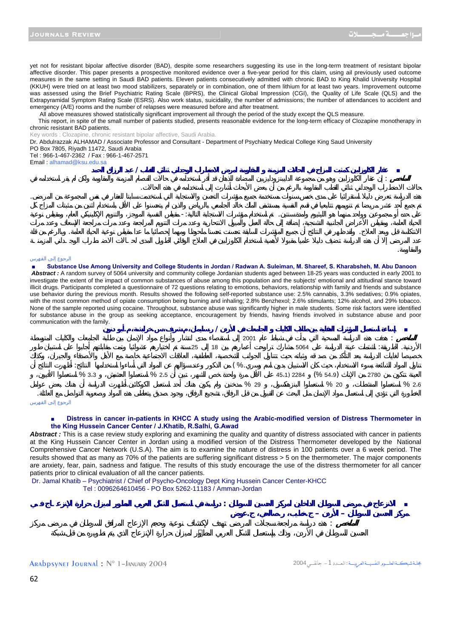والمقاوم .

yet not for resistant bipolar affective disorder (BAD), despite some researchers suggesting its use in the long-term treatment of resistant bipolar affective disorder. This paper presents a prospective monitored evidence over a five-year period for this claim, using ail previously used outcome measures in the same setting in Saudi BAD patients. Eleven patients consecutively admitted with chronic BAD to King Khalid University Hospital (KKUH) were tried on at least two mood stabilizers, separately or in combination, one of them lithium for at least two years. Improvement outcome was assessed using the Brief Psychiatric Rating Scale (BPRS), the Clinical Global Impression (CGI), the Quality of Life Scale (QLS) and the Extrapyramidal Symptom Rating Scale (ESRS). Also work status, suicidality, the number of admissions; the number of attendances to accident and emergency (A/E) rooms and the number of relapses were measured before and after treatment.

All above measures showed statistically significant improvement ail through the period of the study except the QLS measure.

 This report, in spite of the small number of patients studied, presents reasonable evidence for the long-term efficacy of Clozapine monotherapy in chronic resistant BAD patients.

Key words : Clozapine, chronic resistant bipolar affective, Saudi Arabia.

Dr. Abdulrazzak ALHAMAD / Associate Professor and Consultant - Department of Psychiatry Medical College King Saud University

| PO Box 7805, Riyadh 11472, Saudi Arabia |  |
|-----------------------------------------|--|
|-----------------------------------------|--|

| Email: alhamad@ksu.edu.sa |       |  |  |
|---------------------------|-------|--|--|
|                           |       |  |  |
|                           |       |  |  |
|                           |       |  |  |
|                           |       |  |  |
|                           | . .   |  |  |
|                           | $-$ . |  |  |

#### الرجوع إلى الفهرس

Substance Use Among University and College Students in Jordan / Radwan A. Suleiman, M. Shareef, S. Kharabsheh, M. Abu Danoon *Abstract :* A random survey of 5064 university and community college Jordanian students aged between 18-25 years was conducted in early 2001 to investigate the extent of the impact of common substances of abuse among this population and the subjects' emotional and attitudinal stance toward illicit drugs. Participants completed a questionnaire of 72 questions relating to emotions, behaviors, relationship with family and friends and substance use behavior during the previous month. Results showed the following self-reported substance use: 2.5% cannabis, 3.3% sedatives; 0.9% opiates, with the most common method of opiate consumption being burning and inhaling; 2.8% Benzhexol; 2.6% stimulants; 12% alcohol, and 29% tobacco. None of the sample reported using cocaine. Throughout, substance abuse was significantly higher in male students. Some risk factors were identified for substance abuse in the group as seeking acceptance, encouragement by friends, having friends involved in substance abuse and poor communication with the family.

الانتكاسة قبل وبعد العلاج. ولقد ظهر في النتائج أن جميع المؤشرات السابقة تحسنت تحسنا ملحوظا ومهما إحصائيا ما عدا مقياس نوعية الحياة العامة. وبالرغم من قلة

|              | $\sim$<br>. . | . .      |                |                       |              |     |
|--------------|---------------|----------|----------------|-----------------------|--------------|-----|
|              |               | 25<br>18 | 2001           | 5064                  | $\sim$       |     |
| ٠<br>$\cdot$ |               |          | $^{\prime}$ %. |                       |              |     |
| %33          | % 25          |          | % 29           | (% 549)<br>45 1) 2284 | 2780<br>% 20 | %26 |

الرجوع إلى الفهرس

#### Distress in cancer in-patients in KHCC A study using the Arabic-modified version of Distress Thermometer in **the King Hussein Cancer Center / J.Khatib, R.Salhi, G.Awad**

Abstract : This is a case review study exploring and examining the quality and quantity of distress associated with cancer in patients at the King Hussein Cancer Center in Jordan using a modified version of the Distress Thermometer developed by the National Comprehensive Cancer Network (U.S.A). The aim is to examine the nature of distress in 100 patients over a 6 week period. The results showed that as many as 70% of the patients are suffering significant distress > 5 on the thermometer. The major components are anxiety, fear, pain, sadness and fatigue. The results of this study encourage the use of the distress thermometer for all cancer patients prior to clinical evaluation of all the cancer patients.

Dr. Jamal Khatib – Psychiatrist / Chief of Psycho-Oncology Dept King Hussein Cancer Center-KHCC Tel : 0096264610456 - PO Box 5262-11183 / Amman-Jordan

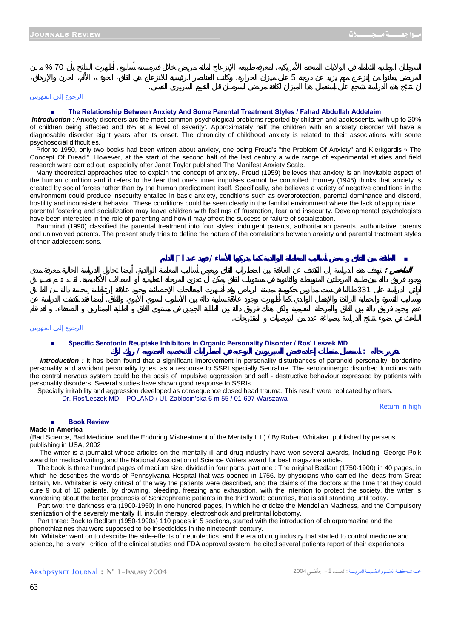$\sim$  5  $\sim$  3  $\sim$  3  $\sim$  3  $\sim$  3  $\sim$  3  $\sim$  3  $\sim$  1  $\sim$  1  $\sim$  3  $\sim$  1  $\sim$  1  $\sim$  1  $\sim$  0  $\sim$  1  $\sim$  0  $\sim$  0  $\sim$  1  $\sim$  0  $\sim$  0  $\sim$  0  $\sim$  0  $\sim$  0  $\sim$  0  $\sim$  0  $\sim$  0  $\sim$  0  $\sim$  0  $\sim$  0  $\sim$  0  $\sim$  0  $\sim$ 

إن نتائج هذه الدراسة تشجع على إستعمال هذا الميزان لكافة مرضى السرطان قبل التقييم السريري النفسي.

# الرجوع إلى الفهرس

# **The Relationship Between Anxiety And Some Parental Treatment Styles / Fahad Abdullah Addelaim**

 *Introduction* : Anxiety disorders arc the most common psychological problems reported by children and adolescents, with up to 20% of children being affected and 8% at a level of severity'. Approximately half the children with an anxiety disorder will have a diagnosable disorder eight years after its onset. The chronicity of childhood anxiety is related to their associations with some psychosocial difficulties.

 Prior to 1950, only two books had been written about anxiety, one being Freud's "the Problem Of Anxiety" and Kierkgardis » The Concept Of Dread"'. However, at the start of the second half of the last century a wide range of experimental studies and field research were carried out, especially after Janet Taylor published The Manifest Anxiety Scale.

 Many theoretical approaches tried to explain the concept of anxiety. Freud (1959) believes that anxiety is an inevitable aspect of the human condition and it refers to the fear that one's inner impulses cannot be controlled. Horney (1945) thinks that anxiety is created by social forces rather than by the human predicament itself. Specifically, she believes a variety of negative conditions in the environment could produce insecurity entailed in basic anxiety, conditions such as overprotection, parental dominance and discord, hostility and inconsistent behavior. These conditions could be seen clearly in the familial environment where the lack of appropriate parental fostering and socialization may leave children with feelings of frustration, fear and insecurity. Developmental psychologists have been interested in the role of parenting and how it may affect the success or failure of socialization.

 Baumrind (1990) classified the parental treatment into four styles: indulgent parents, authoritarian parents, authoritative parents and uninvolved parents. The present study tries to define the nature of the correlations between anxiety and parental treatment styles of their adolescent sons.



# الرجوع إلى الفهرس

# ■ **Specific Serotonin Reuptake Inhibitors in Organic Personality Disorder / Ros' Leszek MD**

 *Introduction :* It has been found that a significant improvement in personality disturbances of paranoid personality, borderline personality and avoidant personality types, as a response to SSRI specially Sertraline. The serotoninergic disturbed functions with the central nervous system could be the basis of impulsive aggression and self - destructive behaviour expressed by patients with personality disorders. Several studies have shown good response to SSRIs

**تقرير حالة : استعمال مثبطات إعادة قبض السيرتونين النوعية في اضطرابات الشخصية العضوية / روك لزك**

Specially irritability and aggression developed as consequence closed head trauma. This result were replicated by others.

Dr. Ros'Leszek MD – POLAND / UI. Zablocin'ska 6 m 55 / 01-697 Warszawa

Return in high

#### ■ **Book Review**

#### **Made in America**

(Bad Science, Bad Medicine, and the Enduring Mistreatment of the Mentally ILL) / By Robert Whitaker, published by perseus publishing in USA, 2002

 The writer is a journalist whose articles on the mentally ill and drug industry have won several awards, Including, George Polk award for medical writing, and the National Association of Science Writers award for best magazine article.

 The book is three hundred pages of medium size, divided in four parts, part one : The original Bedlam (1750-1900) in 40 pages, in which he describes the words of Pennsylvania Hospital that was opened in 1756, by physicians who carried the ideas from Great Britain, Mr. Whitaker is very critical of the way the patients were described, and the claims of the doctors at the time that they could cure 9 out of 10 patients, by drowning, bleeding, freezing and exhaustion, with the intention to protect the society, the writer is wandering about the better prognosis of Schizophrenic patients in the third world countries, that is still standing until today.

 Part two: the darkness era (1900-1950) in one hundred pages, in which he criticize the Mendelian Madness, and the Compulsory sterilization of the severely mentally ill, insulin therapy, electroshock and prefrontal lobotomy.

 Part three: Back to Bedlam (1950-1990s) 110 pages in 5 sections, started with the introduction of chlorpromazine and the phenothiazines that were supposed to be insecticides in the nineteenth century.

Mr. Whitaker went on to describe the side-effects of neuroleptics, and the era of drug industry that started to control medicine and science, he is very critical of the clinical studies and FDA approval system, he cited several patients report of their experiences,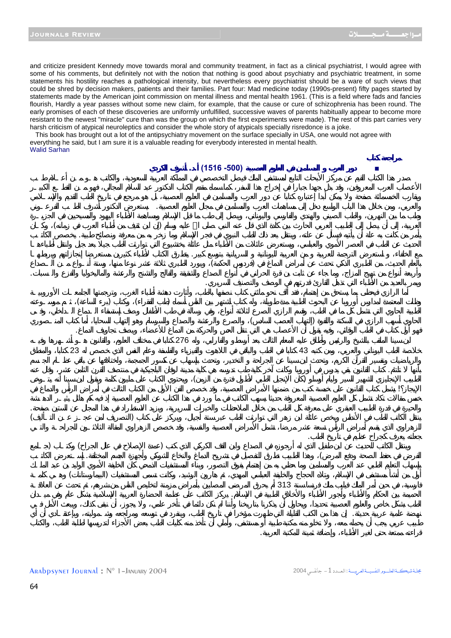and criticize president Kennedy move towards moral and community treatment, in fact as a clinical psychiatrist, I would agree with some of his comments, but definitely not with the notion that nothing is good about psychiatry and psychiatric treatment, in some statements his hostility reaches a pathological intensity, but nevertheless every psychiatrist should be a ware of such views that could be shred by decision makers, patients and their families. Part four: Mad medicine today (1990s-present) fifty pages started by statements made by the American joint commission on mental illness and mental health 1961. (This is a field where fads and fancies flourish, Hardly a year passes without some new claim, for example, that the cause or cure of schizophrenia has been round. The early promises of each of these discoveries are uniformly unfulfilled, successive waves of parents habitually appear to become more resistant to the newest "miracle" cure than was the group on which the first experiments were made). The rest of this part carries very harsh criticism of atypical neuroleptics and consider the whole story of atypicals specially risredonce is a joke.

 This book has brought out a lot of the antipsychiatry movement on the surface specially in USA, one would not agree with everything he said, but I am sure it is a valuable reading for everybody interested in mental health. Walid Sarhan



قراءته ممتعة حتى لغير الأطباء، وإضافة ثمينة للمكتبة العربية.